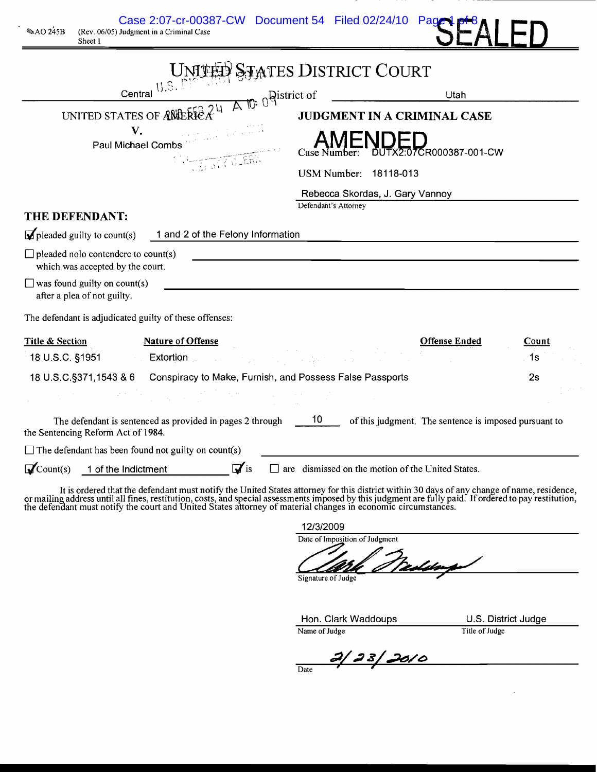| Case 2:07-cr-00387-CW Document 54 Filed 02/24/10<br>$\mathcal$ AO 245B<br>(Rev. 06/05) Judgment in a Criminal Case<br>Sheet 1                                                                                                                                                                                                                                                | Pag                                                         |       |
|------------------------------------------------------------------------------------------------------------------------------------------------------------------------------------------------------------------------------------------------------------------------------------------------------------------------------------------------------------------------------|-------------------------------------------------------------|-------|
|                                                                                                                                                                                                                                                                                                                                                                              | UNITELY STATES DISTRICT COURT                               |       |
| Central<br>UNITED STATES OF ANDERFEAT                                                                                                                                                                                                                                                                                                                                        | <b>Qistrict</b> of<br>Utah<br>JUDGMENT IN A CRIMINAL CASE   |       |
| V.<br>Paul Michael Combs<br><b>TELER</b>                                                                                                                                                                                                                                                                                                                                     | DED<br>11X2:07CR000387-001-CW                               |       |
|                                                                                                                                                                                                                                                                                                                                                                              | USM Number: 18118-013<br>Rebecca Skordas, J. Gary Vannoy    |       |
| THE DEFENDANT:                                                                                                                                                                                                                                                                                                                                                               | Defendant's Attorney                                        |       |
| $\blacksquare$ pleaded guilty to count(s)<br>1 and 2 of the Felony Information                                                                                                                                                                                                                                                                                               |                                                             |       |
| $\Box$ pleaded nolo contendere to count(s)<br>which was accepted by the court.                                                                                                                                                                                                                                                                                               |                                                             |       |
| $\Box$ was found guilty on count(s)<br>after a plea of not guilty.                                                                                                                                                                                                                                                                                                           |                                                             |       |
| The defendant is adjudicated guilty of these offenses:                                                                                                                                                                                                                                                                                                                       |                                                             |       |
| <b>Title &amp; Section</b><br><b>Nature of Offense</b>                                                                                                                                                                                                                                                                                                                       | <b>Offense Ended</b>                                        | Count |
| 18 U.S.C. §1951<br><b>Extortion</b>                                                                                                                                                                                                                                                                                                                                          |                                                             | . 1s  |
| 18 U.S.C.§371,1543 & 6 Conspiracy to Make, Furnish, and Possess False Passports                                                                                                                                                                                                                                                                                              |                                                             | 2s    |
|                                                                                                                                                                                                                                                                                                                                                                              |                                                             |       |
| The defendant is sentenced as provided in pages 2 through<br>the Sentencing Reform Act of 1984.                                                                                                                                                                                                                                                                              | 10<br>of this judgment. The sentence is imposed pursuant to |       |
| $\Box$ The defendant has been found not guilty on count(s)                                                                                                                                                                                                                                                                                                                   |                                                             |       |
| $\mathbf{v}$ is<br>$\mathbf{\mathcal{Q}}$ Count(s)<br>1 of the Indictment                                                                                                                                                                                                                                                                                                    | are dismissed on the motion of the United States.           |       |
| It is ordered that the defendant must notify the United States attorney for this district within 30 days of any change of name, residence,<br>or mailing address until all fines, restitution, costs, and special assessments imposed by this judgment are fully paid. If ordered to pay restitution, the defendant must notify the court and United States attorney of mate |                                                             |       |
|                                                                                                                                                                                                                                                                                                                                                                              | 12/3/2009                                                   |       |
|                                                                                                                                                                                                                                                                                                                                                                              | Date of Imposition of Judgment                              |       |
|                                                                                                                                                                                                                                                                                                                                                                              | <u>Teolitoupe</u><br>Signature of Judge                     |       |

Hon. Clark Waddoups **U.S. District Judge** Name of Judge **Title of Judge** Title of Judge

 $\hat{\boldsymbol{\gamma}}$ 

 $\frac{3}{28}$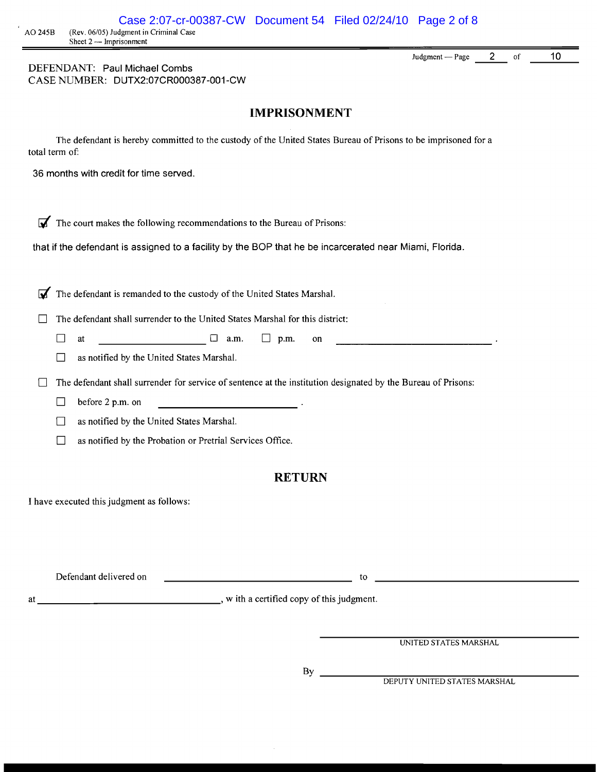Judgment  $-Page$  2 of 10

DEFENDANT: Paul Michael Combs CASE NUMBER: DUTX2:07CR000387-001-CW

#### **IMPRISONMENT**

The defendant is hereby committed to the custody of the United States Bureau of Prisons to be imprisoned for a total term of:

36 months with credit for time served.

 $\overline{\mathbf{A}}$  The court makes the following recommendations to the Bureau of Prisons:

that if the defendant is assigned to a facility by the BOP that he be incarcerated near Miami, Florida.

The defendant is remanded to the custody of the United States Marshal.

 $\Box$  The defendant shall surrender to the United States Marshal for this district:

------------------- D at D a.m. D p.m. on

 $\Box$  as notified by the United States Marshal.

 $\Box$  The defendant shall surrender for service of sentence at the institution designated by the Bureau of Prisons:

 $\Box$  before 2 p.m. on

D as notified by the United States Marshal.

 $\Box$  as notified by the Probation or Pretrial Services Office.

#### **RETURN**

I have executed this judgment as follows:

| Defendant delivered on |  |
|------------------------|--|
|                        |  |

at \_\_\_\_\_\_\_\_\_\_\_\_\_\_\_\_\_\_\_\_\_\_\_\_\_\_\_\_\_\_\_, with a certified copy of this judgment.

UNITED STATES MARSHAL

**Contract Contract Contract Contract Contract** 

By

DEPUTY UNITED STATES MARSHAL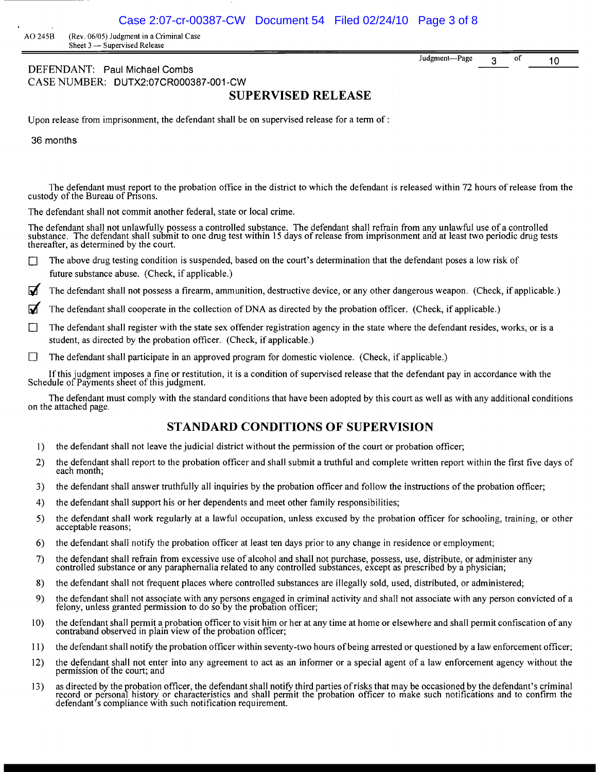Judgment-Page 3 of 10

AO 2458 (Rev. 06/05) Judgment in a Criminal Case Sheet 3 - Supervised Release

DEFENDANT: Paul Michael Combs CASE NUMBER: DUTX2:07CR000387-001-CW

## **SUPERVISED RELEASE**

Upon release from imprisonment, the defendant shall be on supervised release for a term of:

36 months

The defendant must report to the probation office in the district to which the defendant is released within 72 hours of release from the custody of the Bureau of Prisons.

The defendant shall not commit another federal, state or local crime.

The defendant shall not unlawfully possess a controlled substance. The defendant shall refrain from any unlawful use of a controlled substance. The defendant shall submit to one drug test within 15 days of release from imprisonment and at least two periodic drug tests thereafter, as determined by the court.

The above drug testing condition is suspended, based on the court's determination that the defendant poses a low risk of future substance abuse. (Check, if applicable.)

The defendant shall not possess a firearm, ammunition, destructive device, or any other dangerous weapon. (Check, if applicable.)

- The defendant shall cooperate in the collection of DNA as directed by the probation officer. (Check, if applicable.)
- The defendant shall register with the state sex offender registration agency in the state where the defendant resides, works, or is a student, as directed by the probation officer. (Check, if applicable.)
- $\Box$  The defendant shall participate in an approved program for domestic violence. (Check, if applicable.)

If this judgment imposes a fine or restitution, it is a condition of supervised release that the defendant pay in accordance with the Schedule of Payments sheet of this judgment.

The defendant must comply with the standard conditions that have been adopted by this court as well as with any additional conditions on the attached page.

#### **STANDARD CONDITIONS OF SUPERVISION**

- 1) the defendant shall not leave the judicial district without the permission of the court or probation officer;
- 2) the defendant shall report to the probation officer and shall submit a truthful and complete written report within the first five days of each month;
- 3) the defendant shall answer truthfully all inquiries by the probation officer and follow the instructions of the probation officer;
- 4) the defendant shall support his or her dependents and meet other family responsibilities;
- 5) the defendant shall work regularly at a lawful occupation, unless excused by the probation officer for schooling, training, or other acceptable reasons;
- 6) the defendant shall notify the probation officer at least ten days prior to any change in residence or employment;
- 7) the defendant shall refrain from excessive use of alcohol and shall not purchase, possess, use, distribute, or administer any controlled substance or any paraphernalia related to any controlled substances, except as prescribed by a physician;
- 8) the defendant shall not frequent places where controlled substances are illegally sold, used, distributed, or administered;
- 9) the defendant shall not associate with any persons engaged in criminal activity and shall not associate with any person convicted of a felony, unless granted permission to do so by the probation officer;
- 10) the defendant shall permit a probation officer to visit him or her at any time at home or elsewhere and shall permit confiscation of any contraband observed in plain view of the probation officer;
- 11 ) the defendant shall notifY the probation officer within seventy-two hours ofbeing arrested or questioned by a law enforcement officer;
- 12) the defendant shall not enter into any agreement to act as an informer or a special agent of a law enforcement agency without the permission of the court; and
- 13) as directed by the probation officer, the defendant shall notify third parties of risks that may be occasioned by the defendant's criminal record or personal history or characteristics and shall permit the probation officer to make such notifications and to confirm the defendant's compliance with such notification requirement.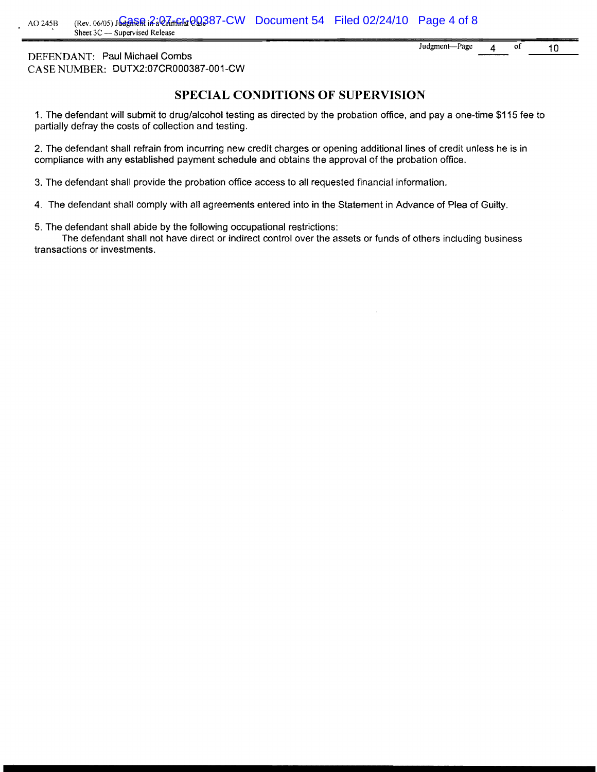10 Judgment-Page 4 of

DEFENDANT: Paul Michael Combs CASE NUMBER: DUTX2:07CR000387 -00 1-CW

## **SPECIAL CONDITIONS OF SUPERVISION**

1. The defendant will submit to drug/alcohol testing as directed by the probation office, and pay a one-time \$115 fee to partially defray the costs of collection and testing.

2. The defendant shall refrain from incurring new credit charges or opening additional lines of credit unless he is in compliance with any established payment schedule and obtains the approval of the probation office.

3. The defendant shall provide the probation office access to all requested financial information.

4. The defendant shall comply with all agreements entered into in the Statement in Advance of Plea of Guilty.

5. The defendant shall abide by the following occupational restrictions:

The defendant shall not have direct or indirect control over the assets or funds of others including business transactions or investments.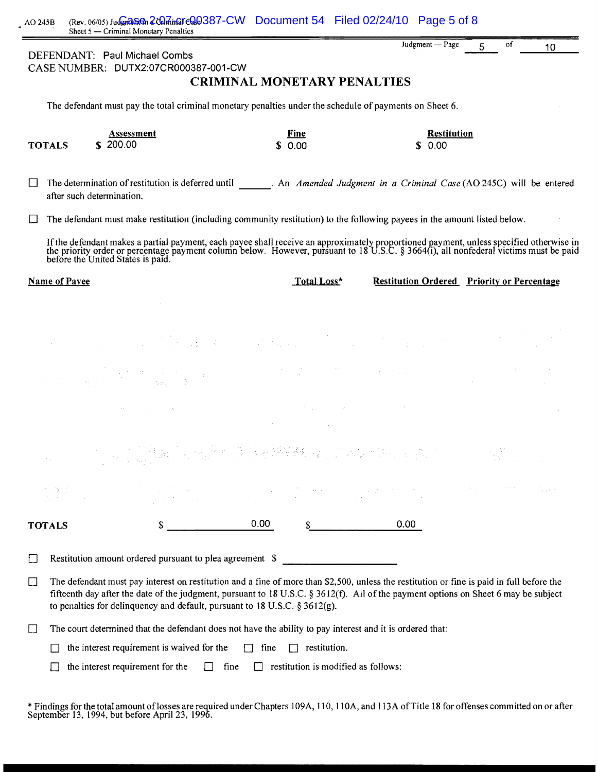|               | Sheet 5 - Criminal Monetary Penalties<br>DEFENDANT: Paul Michael Combs                                                                                                                                                                                                                                                                                               |                                                | Judgment - Page                                   | οf<br>5 | 10                                                                                                                           |
|---------------|----------------------------------------------------------------------------------------------------------------------------------------------------------------------------------------------------------------------------------------------------------------------------------------------------------------------------------------------------------------------|------------------------------------------------|---------------------------------------------------|---------|------------------------------------------------------------------------------------------------------------------------------|
|               | CASE NUMBER: DUTX2:07CR000387-001-CW                                                                                                                                                                                                                                                                                                                                 |                                                |                                                   |         |                                                                                                                              |
|               |                                                                                                                                                                                                                                                                                                                                                                      | <b>CRIMINAL MONETARY PENALTIES</b>             |                                                   |         |                                                                                                                              |
|               | The defendant must pay the total criminal monetary penalties under the schedule of payments on Sheet 6.                                                                                                                                                                                                                                                              |                                                |                                                   |         |                                                                                                                              |
| <b>TOTALS</b> | Assessment<br>\$200.00                                                                                                                                                                                                                                                                                                                                               | Fine<br>0.00                                   | <b>Restitution</b><br>0.00<br>S.                  |         |                                                                                                                              |
|               | The determination of restitution is deferred until The Amended Judgment in a Criminal Case (AO 245C) will be entered<br>after such determination.                                                                                                                                                                                                                    |                                                |                                                   |         |                                                                                                                              |
|               | The defendant must make restitution (including community restitution) to the following payees in the amount listed below.                                                                                                                                                                                                                                            |                                                |                                                   |         |                                                                                                                              |
|               | If the defendant makes a partial payment, each payee shall receive an approximately proportioned payment, unless specified otherwise in the priority order or percentage payment column below. However, pursuant to 18 U.S.C.                                                                                                                                        |                                                |                                                   |         |                                                                                                                              |
| Name of Payee |                                                                                                                                                                                                                                                                                                                                                                      | Total Loss*                                    | <b>Restitution Ordered</b> Priority or Percentage |         |                                                                                                                              |
|               |                                                                                                                                                                                                                                                                                                                                                                      |                                                |                                                   |         |                                                                                                                              |
|               | a sa mga bagayan ng mga kalawang mga kalawang ng mga kalawang ng mga kalawang ng mga kalawang ng mga kalawang<br>Mga kalawang mga kalawang ng mga kalawang ng mga kalawang ng mga kalawang ng mga kalawang ng mga kalawang ng m                                                                                                                                      |                                                |                                                   |         |                                                                                                                              |
|               | $\label{eq:2.1} \mathcal{L} = \mathcal{L} \left( \frac{1}{2} \sum_{i=1}^n \frac{1}{2} \sum_{j=1}^n \frac{1}{2} \sum_{j=1}^n \frac{1}{2} \sum_{j=1}^n \frac{1}{2} \sum_{j=1}^n \frac{1}{2} \sum_{j=1}^n \frac{1}{2} \sum_{j=1}^n \frac{1}{2} \sum_{j=1}^n \frac{1}{2} \sum_{j=1}^n \frac{1}{2} \sum_{j=1}^n \frac{1}{2} \sum_{j=1}^n \frac{1}{2} \sum_{j=1}^n \frac{$ |                                                |                                                   |         |                                                                                                                              |
|               | $\label{eq:2.1} \mathcal{L}^{\mathcal{A}}(\mathcal{A})=\mathcal{L}^{\mathcal{A}}(\mathcal{A})=\mathcal{L}^{\mathcal{A}}(\mathcal{A})=\mathcal{L}^{\mathcal{A}}(\mathcal{A})=\mathcal{L}^{\mathcal{A}}(\mathcal{A})=\mathcal{L}^{\mathcal{A}}(\mathcal{A})=\mathcal{L}^{\mathcal{A}}(\mathcal{A})$                                                                    |                                                |                                                   |         |                                                                                                                              |
|               |                                                                                                                                                                                                                                                                                                                                                                      | 一、"这是'人'是'你'的'人'的'人'的'人','人'是''人'。             |                                                   |         |                                                                                                                              |
|               |                                                                                                                                                                                                                                                                                                                                                                      |                                                |                                                   |         | $\label{eq:1} \mathcal{L}^{(1)}(\mathcal{L}^{(1)}) = \mathcal{L}^{(1)}_{\mathcal{L}^{(1)}}(\mathcal{L}_{\mathcal{L}^{(1)}})$ |
| <b>TOTALS</b> |                                                                                                                                                                                                                                                                                                                                                                      | 0.00                                           | 0.00                                              |         |                                                                                                                              |
| $\mathsf{L}$  | Restitution amount ordered pursuant to plea agreement \$                                                                                                                                                                                                                                                                                                             |                                                |                                                   |         |                                                                                                                              |
| $\Box$        | The defendant must pay interest on restitution and a fine of more than \$2,500, unless the restitution or fine is paid in full before the<br>fifteenth day after the date of the judgment, pursuant to 18 U.S.C. § 3612(f). All of the payment options on Sheet 6 may be subject<br>to penalties for delinquency and default, pursuant to 18 U.S.C. § 3612(g).       |                                                |                                                   |         |                                                                                                                              |
| $\Box$        | The court determined that the defendant does not have the ability to pay interest and it is ordered that:                                                                                                                                                                                                                                                            |                                                |                                                   |         |                                                                                                                              |
|               | the interest requirement is waived for the                                                                                                                                                                                                                                                                                                                           | fine<br>restitution.<br>$\Box$<br>$\mathbf{1}$ |                                                   |         |                                                                                                                              |

 $\Box$  the interest requirement for the  $\Box$  fine  $\Box$  restitution is modified as follows:

\* Findings for the total amount oflosses are required under Chapters 109A, 110, IIOA, and ll3A ofTitle 18 for offenses committed on or after September 13, 1994, but before April 23, 1996.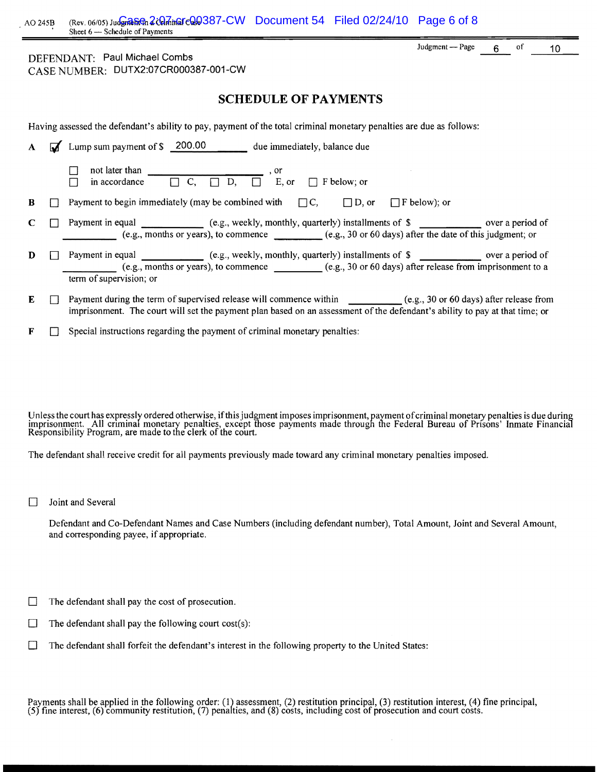| AO 245B |                | (Rev. 06/05) Judgman Cale Gamin Cale 387-CW Document 54 Filed 02/24/10 Page 6 of 8<br>Sheet 6 - Schedule of Payments                                                                                                                                  |                     |       |    |                 |
|---------|----------------|-------------------------------------------------------------------------------------------------------------------------------------------------------------------------------------------------------------------------------------------------------|---------------------|-------|----|-----------------|
|         |                | DEFENDANT: Paul Michael Combs<br>CASE NUMBER: DUTX2:07CR000387-001-CW                                                                                                                                                                                 | Judgment - Page     | $6 -$ | of | 10 <sub>1</sub> |
|         |                | <b>SCHEDULE OF PAYMENTS</b>                                                                                                                                                                                                                           |                     |       |    |                 |
|         |                | Having assessed the defendant's ability to pay, payment of the total criminal monetary penalties are due as follows:                                                                                                                                  |                     |       |    |                 |
| A       | $\overline{M}$ | Lump sum payment of \$ 200.00 due immediately, balance due                                                                                                                                                                                            |                     |       |    |                 |
|         |                | not later than<br>$\overline{\Box} C, \overline{\Box} D, \overline{\Box} C,$ er<br>$\Box$ F below; or<br>in accordance<br>$\Box$                                                                                                                      |                     |       |    |                 |
| B       |                | Payment to begin immediately (may be combined with $\Box C$ , $\Box D$ , or                                                                                                                                                                           | $\Box$ F below); or |       |    |                 |
| C       |                | Payment in equal ____________ (e.g., weekly, monthly, quarterly) installments of \$ _____________ over a period of<br>(e.g., months or years), to commence<br>(e.g., 30 or 60 days) after the date of this judgment; or                               |                     |       |    |                 |
| D       |                | Payment in equal _____________ (e.g., weekly, monthly, quarterly) installments of \$<br>(e.g., months or years), to commence (e.g., 30 or 60 days) after release from imprisonment to a<br>term of supervision; or                                    |                     |       |    |                 |
| E       |                | Payment during the term of supervised release will commence within ___________(e.g., 30 or 60 days) after release from<br>imprisonment. The court will set the payment plan based on an assessment of the defendant's ability to pay at that time; or |                     |       |    |                 |

 $\mathbf{F}$   $\Box$  Special instructions regarding the payment of criminal monetary penalties:

Unless the court has expressly ordered otherwise, if this judgment imposes imprisonment, payment of criminal monetary penalties is due during<br>imprisonment. \_All criminal monetary penalties, except those payments made throu Responsibility Program, are made to the clerk of the court.

The defendant shall receive credit for all payments previously made toward any criminal monetary penalties imposed.

 $\Box$  Joint and Several

Defendant and Co-Defendant Names and Case Numbers (including defendant number), Total Amount, Joint and Several Amount, and corresponding payee, if appropriate.

- $\Box$  The defendant shall pay the cost of prosecution.
- $\Box$  The defendant shall pay the following court cost(s):
- D The defendant shall forfeit the defendant's interest in the following property to the United States:

Payments shall be applied in the following order: (1) assessment, (2) restitution principal, (3) restitution interest, (4) fine principal,<br>(5) fine interest, (6) community restitution, (7) penalties, and (8) costs, includi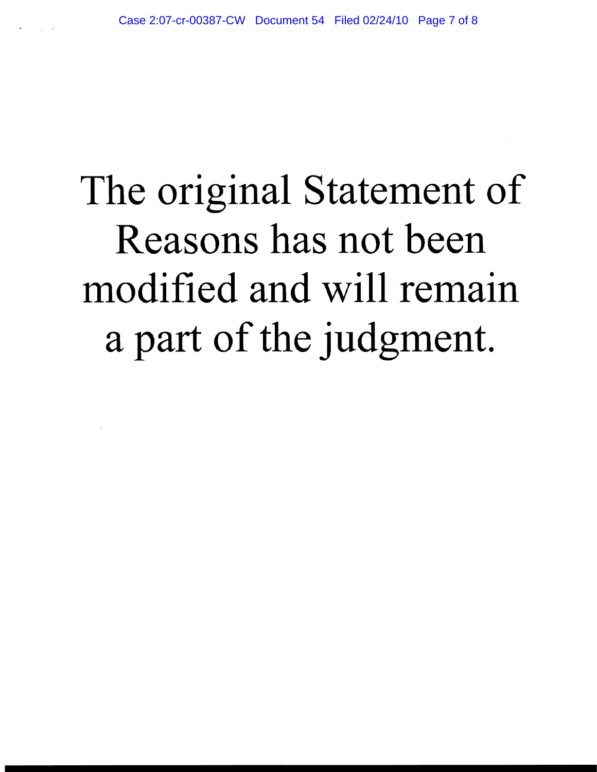# The original Statement of Reasons has not been modified and will remain a part of the judgment.